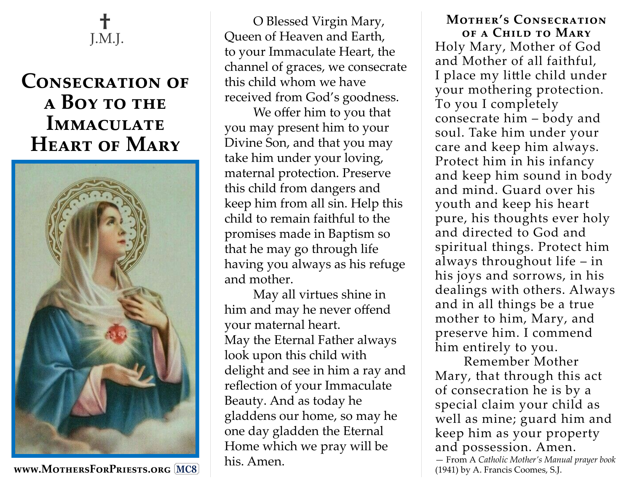

## **Consecration of a Boy to the Immaculate Heart of Mary**



**www.MothersForPriests.org MC8**

O Blessed Virgin Mary, Queen of Heaven and Earth, to your Immaculate Heart, the channel of graces, we consecrate this child whom we have received from God's goodness.

We offer him to you that you may present him to your Divine Son, and that you may take him under your loving, maternal protection. Preserve this child from dangers and keep him from all sin. Help this child to remain faithful to the promises made in Baptism so that he may go through life having you always as his refuge and mother.

May all virtues shine in him and may he never offend your maternal heart. May the Eternal Father always look upon this child with delight and see in him a ray and reflection of your Immaculate Beauty. And as today he gladdens our home, so may he one day gladden the Eternal Home which we pray will be his. Amen.

**Mother's Consecration of a Child to Mary** Holy Mary, Mother of God and Mother of all faithful, I place my little child under your mothering protection. To you I completely consecrate him – body and soul. Take him under your care and keep him always. Protect him in his infancy and keep him sound in body and mind. Guard over his youth and keep his heart pure, his thoughts ever holy and directed to God and spiritual things. Protect him always throughout life – in his joys and sorrows, in his dealings with others. Always and in all things be a true mother to him, Mary, and preserve him. I commend him entirely to you.

Remember Mother Mary, that through this act of consecration he is by a special claim your child as well as mine; guard him and keep him as your property and possession. Amen. — From A *Catholic Mother's Manual prayer book*  (1941) by A. Francis Coomes, S.J.